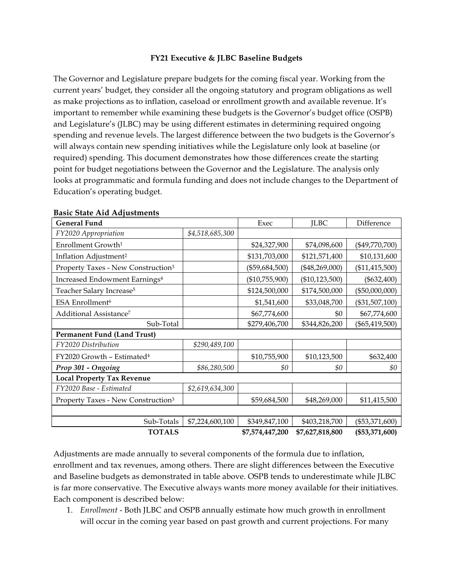### **FY21 Executive & JLBC Baseline Budgets**

The Governor and Legislature prepare budgets for the coming fiscal year. Working from the current years' budget, they consider all the ongoing statutory and program obligations as well as make projections as to inflation, caseload or enrollment growth and available revenue. It's important to remember while examining these budgets is the Governor's budget office (OSPB) and Legislature's (JLBC) may be using different estimates in determining required ongoing spending and revenue levels. The largest difference between the two budgets is the Governor's will always contain new spending initiatives while the Legislature only look at baseline (or required) spending. This document demonstrates how those differences create the starting point for budget negotiations between the Governor and the Legislature. The analysis only looks at programmatic and formula funding and does not include changes to the Department of Education's operating budget.

| <b>General Fund</b>                            |                 | Exec             | <b>ILBC</b>      | Difference       |
|------------------------------------------------|-----------------|------------------|------------------|------------------|
| FY2020 Appropriation                           | \$4,518,685,300 |                  |                  |                  |
| Enrollment Growth <sup>1</sup>                 |                 | \$24,327,900     | \$74,098,600     | $(\$49,770,700)$ |
| Inflation Adjustment <sup>2</sup>              |                 | \$131,703,000    | \$121,571,400    | \$10,131,600     |
| Property Taxes - New Construction <sup>3</sup> |                 | $(\$59,684,500)$ | $(\$48,269,000)$ | (\$11,415,500)   |
| Increased Endowment Earnings <sup>4</sup>      |                 | (\$10,755,900)   | (\$10,123,500)   | $(\$632,400)$    |
| Teacher Salary Increase <sup>5</sup>           |                 | \$124,500,000    | \$174,500,000    | $(\$50,000,000)$ |
| ESA Enrollment <sup>6</sup>                    |                 | \$1,541,600      | \$33,048,700     | $(\$31,507,100)$ |
| Additional Assistance <sup>7</sup>             |                 | \$67,774,600     | \$0              | \$67,774,600     |
| Sub-Total                                      |                 | \$279,406,700    | \$344,826,200    | $(\$65,419,500)$ |
| Permanent Fund (Land Trust)                    |                 |                  |                  |                  |
| FY2020 Distribution                            | \$290,489,100   |                  |                  |                  |
| FY2020 Growth - Estimated <sup>4</sup>         |                 | \$10,755,900     | \$10,123,500     | \$632,400        |
| Prop 301 - Ongoing                             | \$86,280,500    | \$0              | \$0              | \$0              |
| <b>Local Property Tax Revenue</b>              |                 |                  |                  |                  |
| FY2020 Base - Estimated                        | \$2,619,634,300 |                  |                  |                  |
| Property Taxes - New Construction <sup>3</sup> |                 | \$59,684,500     | \$48,269,000     | \$11,415,500     |
|                                                |                 |                  |                  |                  |
| Sub-Totals                                     | \$7,224,600,100 | \$349,847,100    | \$403,218,700    | $(\$53,371,600)$ |
| <b>TOTALS</b>                                  |                 | \$7,574,447,200  | \$7,627,818,800  | (\$53,371,600)   |

### **Basic State Aid Adjustments**

Adjustments are made annually to several components of the formula due to inflation, enrollment and tax revenues, among others. There are slight differences between the Executive and Baseline budgets as demonstrated in table above. OSPB tends to underestimate while JLBC is far more conservative. The Executive always wants more money available for their initiatives. Each component is described below:

1. *Enrollment* - Both JLBC and OSPB annually estimate how much growth in enrollment will occur in the coming year based on past growth and current projections. For many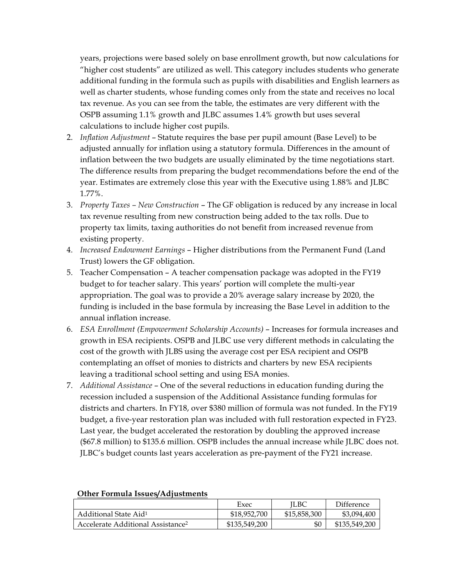years, projections were based solely on base enrollment growth, but now calculations for "higher cost students" are utilized as well. This category includes students who generate additional funding in the formula such as pupils with disabilities and English learners as well as charter students, whose funding comes only from the state and receives no local tax revenue. As you can see from the table, the estimates are very different with the OSPB assuming 1.1% growth and JLBC assumes 1.4% growth but uses several calculations to include higher cost pupils.

- 2. *Inflation Adjustment*  Statute requires the base per pupil amount (Base Level) to be adjusted annually for inflation using a statutory formula. Differences in the amount of inflation between the two budgets are usually eliminated by the time negotiations start. The difference results from preparing the budget recommendations before the end of the year. Estimates are extremely close this year with the Executive using 1.88% and JLBC 1.77%.
- 3. *Property Taxes – New Construction*  The GF obligation is reduced by any increase in local tax revenue resulting from new construction being added to the tax rolls. Due to property tax limits, taxing authorities do not benefit from increased revenue from existing property.
- 4. *Increased Endowment Earnings* Higher distributions from the Permanent Fund (Land Trust) lowers the GF obligation.
- 5. Teacher Compensation A teacher compensation package was adopted in the FY19 budget to for teacher salary. This years' portion will complete the multi-year appropriation. The goal was to provide a 20% average salary increase by 2020, the funding is included in the base formula by increasing the Base Level in addition to the annual inflation increase.
- 6. *ESA Enrollment (Empowerment Scholarship Accounts)*  Increases for formula increases and growth in ESA recipients. OSPB and JLBC use very different methods in calculating the cost of the growth with JLBS using the average cost per ESA recipient and OSPB contemplating an offset of monies to districts and charters by new ESA recipients leaving a traditional school setting and using ESA monies.
- 7. *Additional Assistance*  One of the several reductions in education funding during the recession included a suspension of the Additional Assistance funding formulas for districts and charters. In FY18, over \$380 million of formula was not funded. In the FY19 budget, a five-year restoration plan was included with full restoration expected in FY23. Last year, the budget accelerated the restoration by doubling the approved increase (\$67.8 million) to \$135.6 million. OSPB includes the annual increase while JLBC does not. JLBC's budget counts last years acceleration as pre-payment of the FY21 increase.

|                                               | Exec          | <b>ILBC</b>  | Difference    |
|-----------------------------------------------|---------------|--------------|---------------|
| Additional State Aid <sup>1</sup>             | \$18,952,700  | \$15,858,300 | \$3,094,400   |
| Accelerate Additional Assistance <sup>2</sup> | \$135,549,200 | \$0          | \$135,549,200 |

## **Other Formula Issues/Adjustments**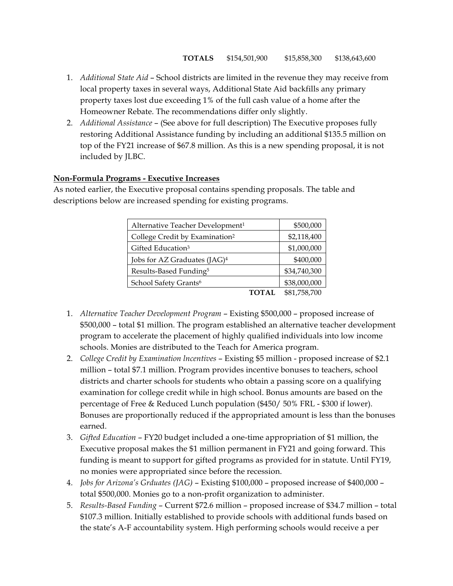- 1. *Additional State Aid*  School districts are limited in the revenue they may receive from local property taxes in several ways, Additional State Aid backfills any primary property taxes lost due exceeding 1% of the full cash value of a home after the Homeowner Rebate. The recommendations differ only slightly.
- 2. *Additional Assistance*  (See above for full description) The Executive proposes fully restoring Additional Assistance funding by including an additional \$135.5 million on top of the FY21 increase of \$67.8 million. As this is a new spending proposal, it is not included by JLBC.

### **Non-Formula Programs - Executive Increases**

As noted earlier, the Executive proposal contains spending proposals. The table and descriptions below are increased spending for existing programs.

| Alternative Teacher Development <sup>1</sup> | \$500,000    |
|----------------------------------------------|--------------|
| College Credit by Examination <sup>2</sup>   | \$2,118,400  |
| Gifted Education <sup>3</sup>                | \$1,000,000  |
| Jobs for AZ Graduates (JAG) <sup>4</sup>     | \$400,000    |
| Results-Based Funding <sup>5</sup>           | \$34,740,300 |
| School Safety Grants <sup>6</sup>            | \$38,000,000 |
| TOTAL                                        | \$81,758,700 |

- 1. *Alternative Teacher Development Program* Existing \$500,000 proposed increase of \$500,000 – total \$1 million. The program established an alternative teacher development program to accelerate the placement of highly qualified individuals into low income schools. Monies are distributed to the Teach for America program.
- 2. *College Credit by Examination lncentives* Existing \$5 million proposed increase of \$2.1 million – total \$7.1 million. Program provides incentive bonuses to teachers, school districts and charter schools for students who obtain a passing score on a qualifying examination for college credit while in high school. Bonus amounts are based on the percentage of Free & Reduced Lunch population (\$450/ 50% FRL - \$300 if lower). Bonuses are proportionally reduced if the appropriated amount is less than the bonuses earned.
- 3. *Gifted Education* FY20 budget included a one-time appropriation of \$1 million, the Executive proposal makes the \$1 million permanent in FY21 and going forward. This funding is meant to support for gifted programs as provided for in statute. Until FY19, no monies were appropriated since before the recession.
- 4. *Jobs for Arizona's Grduates (JAG)*  Existing \$100,000 proposed increase of \$400,000 total \$500,000. Monies go to a non-profit organization to administer.
- 5. *Results-Based Funding* Current \$72.6 million proposed increase of \$34.7 million total \$107.3 million. Initially established to provide schools with additional funds based on the state's A-F accountability system. High performing schools would receive a per